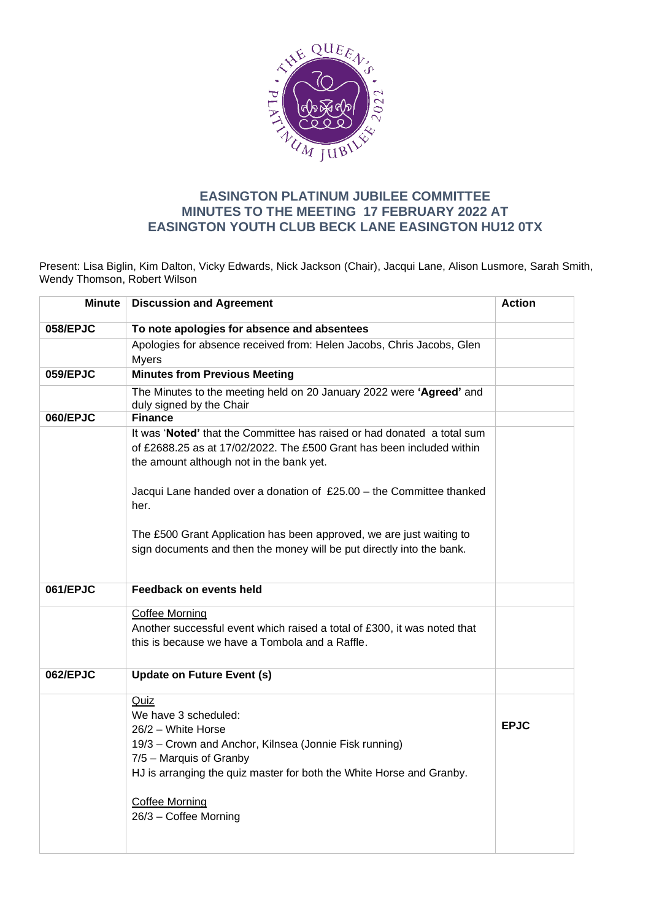

## **EASINGTON PLATINUM JUBILEE COMMITTEE MINUTES TO THE MEETING 17 FEBRUARY 2022 AT EASINGTON YOUTH CLUB BECK LANE EASINGTON HU12 0TX**

Present: Lisa Biglin, Kim Dalton, Vicky Edwards, Nick Jackson (Chair), Jacqui Lane, Alison Lusmore, Sarah Smith, Wendy Thomson, Robert Wilson

| <b>Minute</b> | <b>Discussion and Agreement</b>                                                                                                                                                                                                                                      | <b>Action</b> |
|---------------|----------------------------------------------------------------------------------------------------------------------------------------------------------------------------------------------------------------------------------------------------------------------|---------------|
|               |                                                                                                                                                                                                                                                                      |               |
| 058/EPJC      | To note apologies for absence and absentees                                                                                                                                                                                                                          |               |
|               | Apologies for absence received from: Helen Jacobs, Chris Jacobs, Glen<br><b>Myers</b>                                                                                                                                                                                |               |
| 059/EPJC      | <b>Minutes from Previous Meeting</b>                                                                                                                                                                                                                                 |               |
|               | The Minutes to the meeting held on 20 January 2022 were 'Agreed' and<br>duly signed by the Chair                                                                                                                                                                     |               |
| 060/EPJC      | <b>Finance</b>                                                                                                                                                                                                                                                       |               |
|               | It was 'Noted' that the Committee has raised or had donated a total sum<br>of £2688.25 as at 17/02/2022. The £500 Grant has been included within<br>the amount although not in the bank yet.<br>Jacqui Lane handed over a donation of £25.00 - the Committee thanked |               |
|               | her.                                                                                                                                                                                                                                                                 |               |
|               | The £500 Grant Application has been approved, we are just waiting to<br>sign documents and then the money will be put directly into the bank.                                                                                                                        |               |
| 061/EPJC      | <b>Feedback on events held</b>                                                                                                                                                                                                                                       |               |
|               | <b>Coffee Morning</b><br>Another successful event which raised a total of £300, it was noted that<br>this is because we have a Tombola and a Raffle.                                                                                                                 |               |
| 062/EPJC      | <b>Update on Future Event (s)</b>                                                                                                                                                                                                                                    |               |
|               | Quiz<br>We have 3 scheduled:<br>26/2 - White Horse<br>19/3 - Crown and Anchor, Kilnsea (Jonnie Fisk running)<br>7/5 - Marquis of Granby<br>HJ is arranging the quiz master for both the White Horse and Granby.<br><b>Coffee Morning</b>                             | <b>EPJC</b>   |
|               | 26/3 - Coffee Morning                                                                                                                                                                                                                                                |               |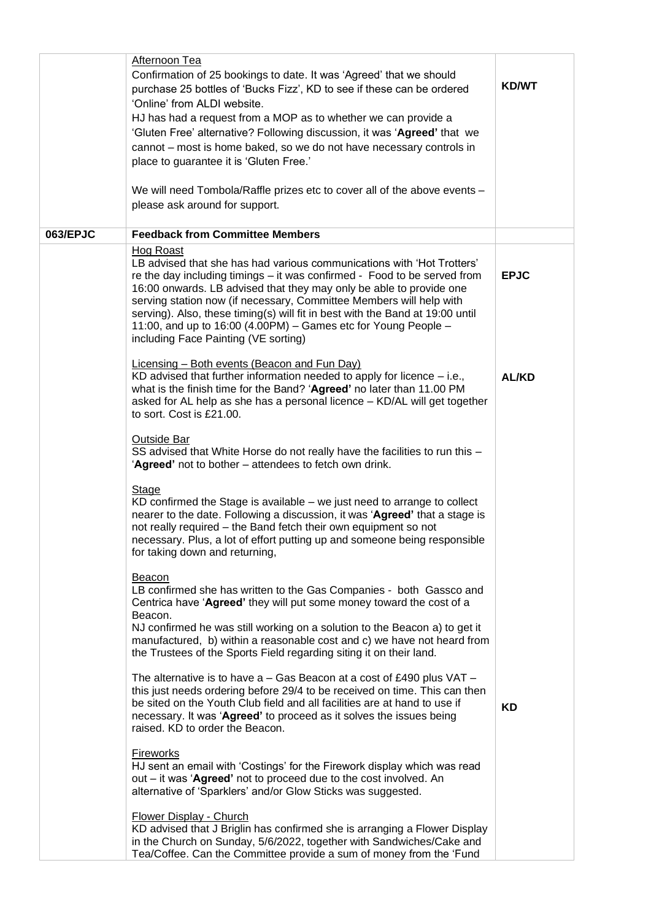|          | Afternoon Tea<br>Confirmation of 25 bookings to date. It was 'Agreed' that we should<br>purchase 25 bottles of 'Bucks Fizz', KD to see if these can be ordered<br>'Online' from ALDI website.<br>HJ has had a request from a MOP as to whether we can provide a<br>'Gluten Free' alternative? Following discussion, it was 'Agreed' that we<br>cannot – most is home baked, so we do not have necessary controls in<br>place to guarantee it is 'Gluten Free.'<br>We will need Tombola/Raffle prizes etc to cover all of the above events -<br>please ask around for support. | <b>KD/WT</b> |
|----------|-------------------------------------------------------------------------------------------------------------------------------------------------------------------------------------------------------------------------------------------------------------------------------------------------------------------------------------------------------------------------------------------------------------------------------------------------------------------------------------------------------------------------------------------------------------------------------|--------------|
| 063/EPJC | <b>Feedback from Committee Members</b>                                                                                                                                                                                                                                                                                                                                                                                                                                                                                                                                        |              |
|          | <b>Hog Roast</b><br>LB advised that she has had various communications with 'Hot Trotters'<br>re the day including timings - it was confirmed - Food to be served from<br>16:00 onwards. LB advised that they may only be able to provide one<br>serving station now (if necessary, Committee Members will help with<br>serving). Also, these timing(s) will fit in best with the Band at 19:00 until<br>11:00, and up to 16:00 (4.00PM) - Games etc for Young People -<br>including Face Painting (VE sorting)                                                               | <b>EPJC</b>  |
|          | <b>Licensing – Both events (Beacon and Fun Day)</b><br>KD advised that further information needed to apply for licence $-$ i.e.,<br>what is the finish time for the Band? 'Agreed' no later than 11.00 PM<br>asked for AL help as she has a personal licence - KD/AL will get together<br>to sort. Cost is £21.00.                                                                                                                                                                                                                                                            | <b>AL/KD</b> |
|          | <b>Outside Bar</b><br>SS advised that White Horse do not really have the facilities to run this -<br>'Agreed' not to bother - attendees to fetch own drink.                                                                                                                                                                                                                                                                                                                                                                                                                   |              |
|          | Stage<br>$KD$ confirmed the Stage is available $-$ we just need to arrange to collect<br>nearer to the date. Following a discussion, it was 'Agreed' that a stage is<br>not really required – the Band fetch their own equipment so not<br>necessary. Plus, a lot of effort putting up and someone being responsible<br>for taking down and returning,                                                                                                                                                                                                                        |              |
|          | Beacon<br>LB confirmed she has written to the Gas Companies - both Gassco and<br>Centrica have 'Agreed' they will put some money toward the cost of a<br>Beacon.<br>NJ confirmed he was still working on a solution to the Beacon a) to get it<br>manufactured, b) within a reasonable cost and c) we have not heard from<br>the Trustees of the Sports Field regarding siting it on their land.                                                                                                                                                                              |              |
|          | The alternative is to have $a - Gas$ Beacon at a cost of £490 plus VAT $-$<br>this just needs ordering before 29/4 to be received on time. This can then<br>be sited on the Youth Club field and all facilities are at hand to use if<br>necessary. It was 'Agreed' to proceed as it solves the issues being<br>raised. KD to order the Beacon.                                                                                                                                                                                                                               | <b>KD</b>    |
|          | <b>Fireworks</b><br>HJ sent an email with 'Costings' for the Firework display which was read<br>out – it was 'Agreed' not to proceed due to the cost involved. An<br>alternative of 'Sparklers' and/or Glow Sticks was suggested.                                                                                                                                                                                                                                                                                                                                             |              |
|          | <b>Flower Display - Church</b><br>KD advised that J Briglin has confirmed she is arranging a Flower Display<br>in the Church on Sunday, 5/6/2022, together with Sandwiches/Cake and<br>Tea/Coffee. Can the Committee provide a sum of money from the 'Fund                                                                                                                                                                                                                                                                                                                    |              |